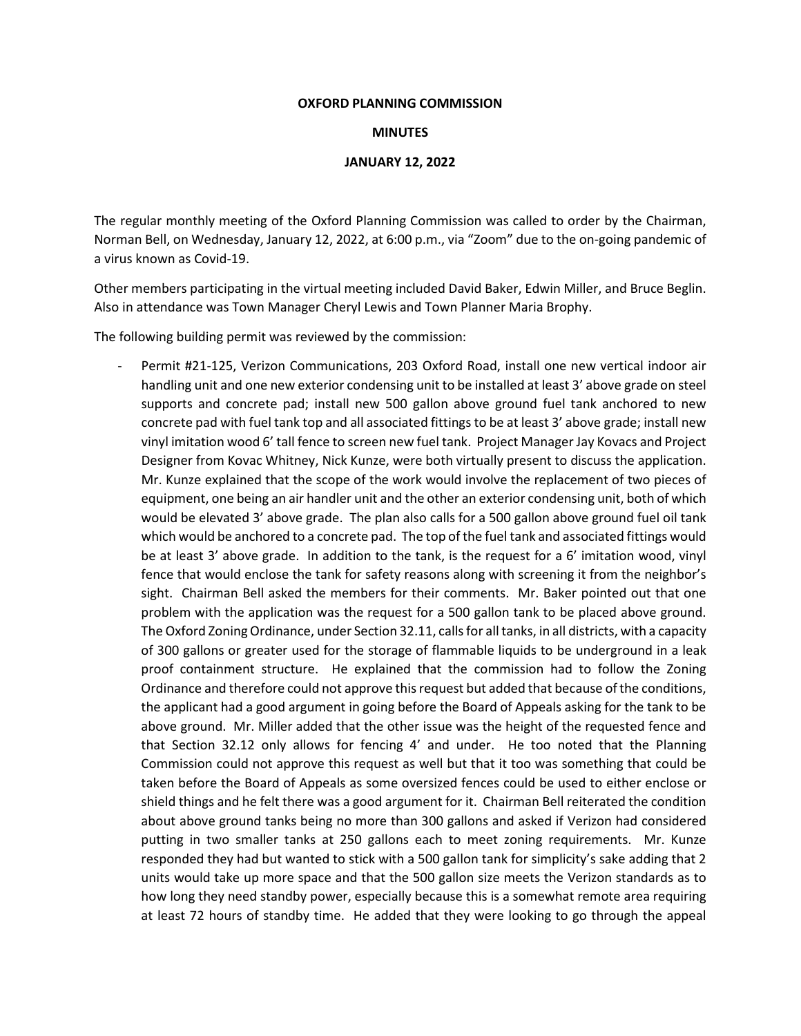## **OXFORD PLANNING COMMISSION**

## **MINUTES**

## **JANUARY 12, 2022**

The regular monthly meeting of the Oxford Planning Commission was called to order by the Chairman, Norman Bell, on Wednesday, January 12, 2022, at 6:00 p.m., via "Zoom" due to the on-going pandemic of a virus known as Covid-19.

Other members participating in the virtual meeting included David Baker, Edwin Miller, and Bruce Beglin. Also in attendance was Town Manager Cheryl Lewis and Town Planner Maria Brophy.

The following building permit was reviewed by the commission:

Permit #21-125, Verizon Communications, 203 Oxford Road, install one new vertical indoor air handling unit and one new exterior condensing unit to be installed at least 3' above grade on steel supports and concrete pad; install new 500 gallon above ground fuel tank anchored to new concrete pad with fuel tank top and all associated fittings to be at least 3' above grade; install new vinyl imitation wood 6' tall fence to screen new fuel tank. Project Manager Jay Kovacs and Project Designer from Kovac Whitney, Nick Kunze, were both virtually present to discuss the application. Mr. Kunze explained that the scope of the work would involve the replacement of two pieces of equipment, one being an air handler unit and the other an exterior condensing unit, both of which would be elevated 3' above grade. The plan also calls for a 500 gallon above ground fuel oil tank which would be anchored to a concrete pad. The top of the fuel tank and associated fittings would be at least 3' above grade. In addition to the tank, is the request for a 6' imitation wood, vinyl fence that would enclose the tank for safety reasons along with screening it from the neighbor's sight. Chairman Bell asked the members for their comments. Mr. Baker pointed out that one problem with the application was the request for a 500 gallon tank to be placed above ground. The Oxford Zoning Ordinance, under Section 32.11, calls for all tanks, in all districts, with a capacity of 300 gallons or greater used for the storage of flammable liquids to be underground in a leak proof containment structure. He explained that the commission had to follow the Zoning Ordinance and therefore could not approve this request but added that because of the conditions, the applicant had a good argument in going before the Board of Appeals asking for the tank to be above ground. Mr. Miller added that the other issue was the height of the requested fence and that Section 32.12 only allows for fencing 4' and under. He too noted that the Planning Commission could not approve this request as well but that it too was something that could be taken before the Board of Appeals as some oversized fences could be used to either enclose or shield things and he felt there was a good argument for it. Chairman Bell reiterated the condition about above ground tanks being no more than 300 gallons and asked if Verizon had considered putting in two smaller tanks at 250 gallons each to meet zoning requirements. Mr. Kunze responded they had but wanted to stick with a 500 gallon tank for simplicity's sake adding that 2 units would take up more space and that the 500 gallon size meets the Verizon standards as to how long they need standby power, especially because this is a somewhat remote area requiring at least 72 hours of standby time. He added that they were looking to go through the appeal